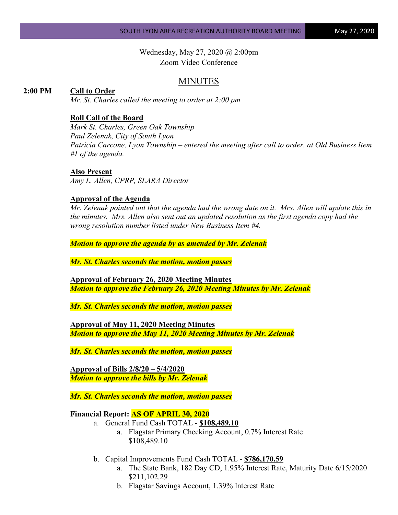Wednesday, May 27, 2020 @ 2:00pm Zoom Video Conference

# MINUTES

#### **2:00 PM Call to Order**

*Mr. St. Charles called the meeting to order at 2:00 pm*

## **Roll Call of the Board**

*Mark St. Charles, Green Oak Township Paul Zelenak, City of South Lyon Patricia Carcone, Lyon Township – entered the meeting after call to order, at Old Business Item #1 of the agenda.*

#### **Also Present**

*Amy L. Allen, CPRP, SLARA Director*

#### **Approval of the Agenda**

*Mr. Zelenak pointed out that the agenda had the wrong date on it. Mrs. Allen will update this in the minutes. Mrs. Allen also sent out an updated resolution as the first agenda copy had the wrong resolution number listed under New Business Item #4.*

*Motion to approve the agenda by as amended by Mr. Zelenak*

*Mr. St. Charles seconds the motion, motion passes*

**Approval of February 26, 2020 Meeting Minutes** *Motion to approve the February 26, 2020 Meeting Minutes by Mr. Zelenak*

*Mr. St. Charles seconds the motion, motion passes*

**Approval of May 11, 2020 Meeting Minutes** *Motion to approve the May 11, 2020 Meeting Minutes by Mr. Zelenak*

*Mr. St. Charles seconds the motion, motion passes*

**Approval of Bills 2/8/20 – 5/4/2020** *Motion to approve the bills by Mr. Zelenak*

*Mr. St. Charles seconds the motion, motion passes*

#### **Financial Report: AS OF APRIL 30, 2020**

- a. General Fund Cash TOTAL **\$108,489.10**
	- a. Flagstar Primary Checking Account, 0.7% Interest Rate \$108,489.10
- b. Capital Improvements Fund Cash TOTAL **\$786,170.59**
	- a. The State Bank, 182 Day CD, 1.95% Interest Rate, Maturity Date 6/15/2020 \$211,102.29
	- b. Flagstar Savings Account, 1.39% Interest Rate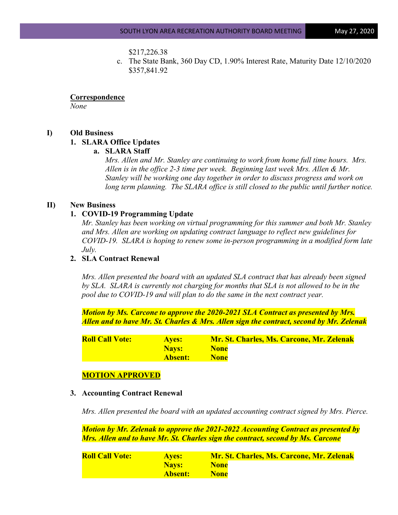#### \$217,226.38

c. The State Bank, 360 Day CD, 1.90% Interest Rate, Maturity Date 12/10/2020 \$357,841.92

**Correspondence** *None*

**I) Old Business**

# **1. SLARA Office Updates**

**a. SLARA Staff** 

*Mrs. Allen and Mr. Stanley are continuing to work from home full time hours. Mrs. Allen is in the office 2-3 time per week. Beginning last week Mrs. Allen & Mr. Stanley will be working one day together in order to discuss progress and work on*  long term planning. The SLARA office is still closed to the *public until further notice*.

## **II) New Business**

#### **1. COVID-19 Programming Update**

*Mr. Stanley has been working on virtual programming for this summer and both Mr. Stanley and Mrs. Allen are working on updating contract language to reflect new guidelines for COVID-19. SLARA is hoping to renew some in-person programming in a modified form late July.*

# **2. SLA Contract Renewal**

*Mrs. Allen presented the board with an updated SLA contract that has already been signed by SLA. SLARA is currently not charging for months that SLA is not allowed to be in the pool due to COVID-19 and will plan to do the same in the next contract year.* 

*Motion by Ms. Carcone to approve the 2020-2021 SLA Contract as presented by Mrs. Allen and to have Mr. St. Charles & Mrs. Allen sign the contract, second by Mr. Zelenak*

| <b>Roll Call Vote:</b> | <b>Aves:</b>   | <b>Mr. St. Charles, Ms. Carcone, Mr. Zelenak</b> |
|------------------------|----------------|--------------------------------------------------|
|                        | <b>Navs:</b>   | <b>None</b>                                      |
|                        | <b>Absent:</b> | <b>None</b>                                      |

# **MOTION APPROVED**

#### **3. Accounting Contract Renewal**

*Mrs. Allen presented the board with an updated accounting contract signed by Mrs. Pierce.*

*Motion by Mr. Zelenak to approve the 2021-2022 Accounting Contract as presented by Mrs. Allen and to have Mr. St. Charles sign the contract, second by Ms. Carcone*

| <b>Roll Call Vote:</b> | <b>Aves:</b> | <b>Mr. St. Charles, Ms. Carcone, Mr. Zelenak</b> |
|------------------------|--------------|--------------------------------------------------|
|                        | <b>Navs:</b> | <b>None</b>                                      |
|                        | Absent:      | <b>None</b>                                      |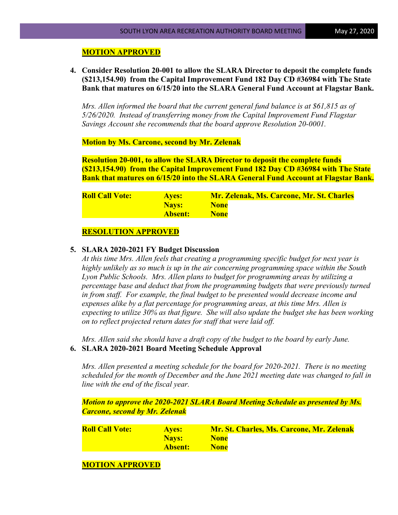## **MOTION APPROVED**

**4. Consider Resolution 20-001 to allow the SLARA Director to deposit the complete funds (\$213,154.90) from the Capital Improvement Fund 182 Day CD #36984 with The State Bank that matures on 6/15/20 into the SLARA General Fund Account at Flagstar Bank.**

*Mrs. Allen informed the board that the current general fund balance is at \$61,815 as of 5/26/2020. Instead of transferring money from the Capital Improvement Fund Flagstar Savings Account she recommends that the board approve Resolution 20-0001.*

**Motion by Ms. Carcone, second by Mr. Zelenak**

**Resolution 20-001, to allow the SLARA Director to deposit the complete funds (\$213,154.90) from the Capital Improvement Fund 182 Day CD #36984 with The State Bank that matures on 6/15/20 into the SLARA General Fund Account at Flagstar Bank.**

| <b>Roll Call Vote:</b> | <b>Aves:</b>   | <b>Mr. Zelenak, Ms. Carcone, Mr. St. Charles</b> |
|------------------------|----------------|--------------------------------------------------|
|                        | Nays:          | <b>None</b>                                      |
|                        | <b>Absent:</b> | <b>None</b>                                      |

#### **RESOLUTION APPROVED**

#### **5. SLARA 2020-2021 FY Budget Discussion**

*At this time Mrs. Allen feels that creating a programming specific budget for next year is highly unlikely as so much is up in the air concerning programming space within the South Lyon Public Schools. Mrs. Allen plans to budget for programming areas by utilizing a percentage base and deduct that from the programming budgets that were previously turned in from staff. For example, the final budget to be presented would decrease income and expenses alike by a flat percentage for programming areas, at this time Mrs. Allen is expecting to utilize 30% as that figure. She will also update the budget she has been working on to reflect projected return dates for staff that were laid off.*

*Mrs. Allen said she should have a draft copy of the budget to the board by early June.* **6. SLARA 2020-2021 Board Meeting Schedule Approval**

*Mrs. Allen presented a meeting schedule for the board for 2020-2021. There is no meeting scheduled for the month of December and the June 2021 meeting date was changed to fall in line with the end of the fiscal year.*

*Motion to approve the 2020-2021 SLARA Board Meeting Schedule as presented by Ms. Carcone, second by Mr. Zelenak*

| <b>Roll Call Vote:</b> | <b>Aves:</b> | <b>Mr. St. Charles, Ms. Carcone, Mr. Zelenak</b> |
|------------------------|--------------|--------------------------------------------------|
|                        | <b>Navs:</b> | <b>None</b>                                      |
|                        | Absent:      | <b>None</b>                                      |

# **MOTION APPROVED**